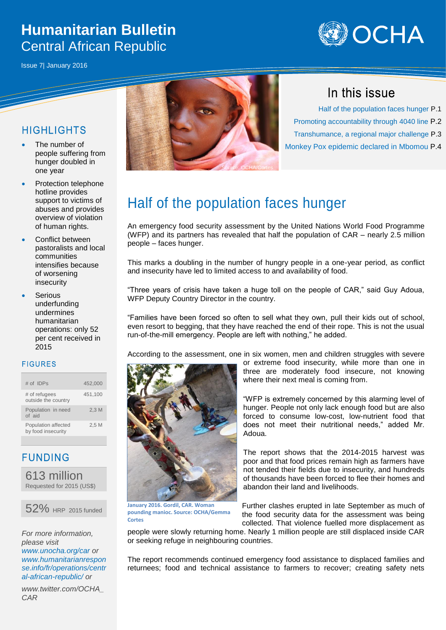# **Humanitarian Bulletin** Central African Republic





### **HIGHI IGHTS**

- The number of people suffering from hunger doubled in one year
- Protection telephone hotline provides support to victims of abuses and provides overview of violation of human rights.
- Conflict between pastoralists and local communities intensifies because of worsening insecurity
- Serious underfunding undermines humanitarian operations: only 52 per cent received in 2015

### **FIGURES**

| # of IDPs                                 | 452.000 |
|-------------------------------------------|---------|
| # of refugees<br>outside the country      | 451,100 |
| Population in need<br>of aid              | 2.3M    |
| Population affected<br>by food insecurity | 2.5M    |

**FUNDING** 

613 million Requested for 2015 (US\$)



*For more information, please visit [www.unocha.org/car](http://www.unocha.org/car) or [www.humanitarianrespon](http://www.humanitarianresponse.info/fr/operations/central-african-republic/) [se.info/fr/operations/centr](http://www.humanitarianresponse.info/fr/operations/central-african-republic/) [al-african-republic/](http://www.humanitarianresponse.info/fr/operations/central-african-republic/) or*

*www.twitter.com/OCHA\_ CAR*



## In this issue

 Half of the population faces hunger P.1 Promoting accountability through 4040 line P.2 Transhumance, a regional major challenge P.3 Monkey Pox epidemic declared in Mbomou P.4

# Half of the population faces hunger

An emergency food security assessment by the United Nations World Food Programme (WFP) and its partners has revealed that half the population of CAR – nearly 2.5 million people – faces hunger.

This marks a doubling in the number of hungry people in a one-year period, as conflict and insecurity have led to limited access to and availability of food.

"Three years of crisis have taken a huge toll on the people of CAR," said Guy Adoua, WFP Deputy Country Director in the country.

"Families have been forced so often to sell what they own, pull their kids out of school, even resort to begging, that they have reached the end of their rope. This is not the usual run-of-the-mill emergency. People are left with nothing," he added.

According to the assessment, one in six women, men and children struggles with severe



**January 2016. Gordil, CAR. Woman pounding manioc. Source: OCHA/Gemma Cortes**

or extreme food insecurity, while more than one in three are moderately food insecure, not knowing where their next meal is coming from.

"WFP is extremely concerned by this alarming level of hunger. People not only lack enough food but are also forced to consume low-cost, low-nutrient food that does not meet their nutritional needs," added Mr. Adoua.

The report shows that the 2014-2015 harvest was poor and that food prices remain high as farmers have not tended their fields due to insecurity, and hundreds of thousands have been forced to flee their homes and abandon their land and livelihoods.

Further clashes erupted in late September as much of the food security data for the assessment was being collected. That violence fuelled more displacement as

people were slowly returning home. Nearly 1 million people are still displaced inside CAR or seeking refuge in neighbouring countries.

The report recommends continued emergency food assistance to displaced families and returnees; food and technical assistance to farmers to recover; creating safety nets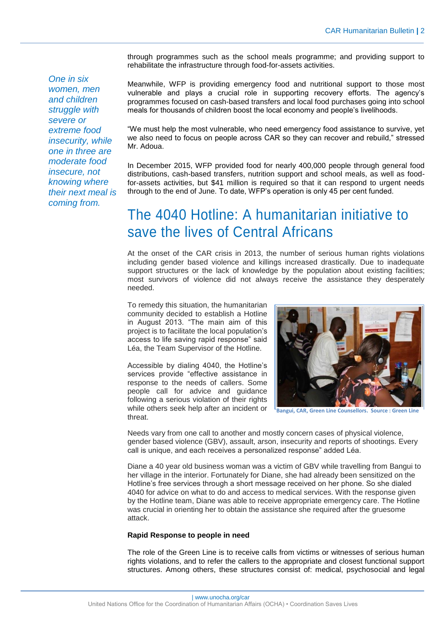through programmes such as the school meals programme; and providing support to rehabilitate the infrastructure through food-for-assets activities.

*One in six women, men and children struggle with severe or extreme food insecurity, while one in three are moderate food insecure, not knowing where their next meal is coming from.*

Meanwhile, WFP is providing emergency food and nutritional support to those most vulnerable and plays a crucial role in supporting recovery efforts. The agency's programmes focused on cash-based transfers and local food purchases going into school meals for thousands of children boost the local economy and people's livelihoods.

"We must help the most vulnerable, who need emergency food assistance to survive, yet we also need to focus on people across CAR so they can recover and rebuild," stressed Mr. Adoua.

In December 2015, WFP provided food for nearly 400,000 people through general food distributions, cash-based transfers, nutrition support and school meals, as well as foodfor-assets activities, but \$41 million is required so that it can respond to urgent needs through to the end of June. To date, WFP's operation is only 45 per cent funded.

# The 4040 Hotline: A humanitarian initiative to save the lives of Central Africans

At the onset of the CAR crisis in 2013, the number of serious human rights violations including gender based violence and killings increased drastically. Due to inadequate support structures or the lack of knowledge by the population about existing facilities; most survivors of violence did not always receive the assistance they desperately needed.

To remedy this situation, the humanitarian community decided to establish a Hotline in August 2013. "The main aim of this project is to facilitate the local population's access to life saving rapid response" said Léa, the Team Supervisor of the Hotline.

Accessible by dialing 4040, the Hotline's services provide "effective assistance in response to the needs of callers. Some people call for advice and guidance following a serious violation of their rights while others seek help after an incident or threat.



**Bangui, CAR, Green Line Counsellors. Source : Green Line**

Needs vary from one call to another and mostly concern cases of physical violence, gender based violence (GBV), assault, arson, insecurity and reports of shootings. Every call is unique, and each receives a personalized response" added Léa.

Diane a 40 year old business woman was a victim of GBV while travelling from Bangui to her village in the interior. Fortunately for Diane, she had already been sensitized on the Hotline's free services through a short message received on her phone. So she dialed 4040 for advice on what to do and access to medical services. With the response given by the Hotline team, Diane was able to receive appropriate emergency care. The Hotline was crucial in orienting her to obtain the assistance she required after the gruesome attack.

#### **Rapid Response to people in need**

The role of the Green Line is to receive calls from victims or witnesses of serious human rights violations, and to refer the callers to the appropriate and closest functional support structures. Among others, these structures consist of: medical, psychosocial and legal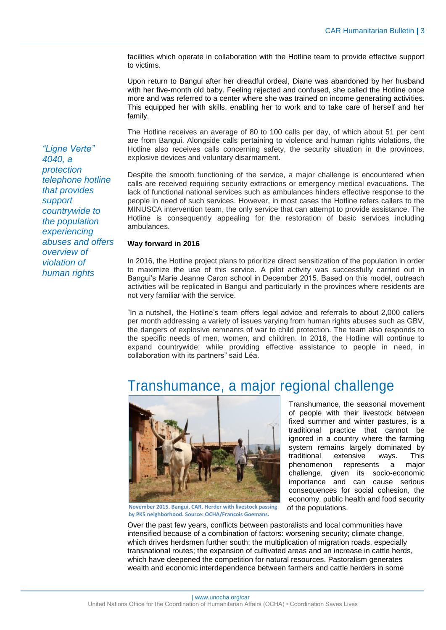facilities which operate in collaboration with the Hotline team to provide effective support to victims.

Upon return to Bangui after her dreadful ordeal, Diane was abandoned by her husband with her five-month old baby. Feeling rejected and confused, she called the Hotline once more and was referred to a center where she was trained on income generating activities. This equipped her with skills, enabling her to work and to take care of herself and her family.

The Hotline receives an average of 80 to 100 calls per day, of which about 51 per cent are from Bangui. Alongside calls pertaining to violence and human rights violations, the Hotline also receives calls concerning safety, the security situation in the provinces, explosive devices and voluntary disarmament.

Despite the smooth functioning of the service, a major challenge is encountered when calls are received requiring security extractions or emergency medical evacuations. The lack of functional national services such as ambulances hinders effective response to the people in need of such services. However, in most cases the Hotline refers callers to the MINUSCA intervention team, the only service that can attempt to provide assistance. The Hotline is consequently appealing for the restoration of basic services including ambulances.

#### **Way forward in 2016**

In 2016, the Hotline project plans to prioritize direct sensitization of the population in order to maximize the use of this service. A pilot activity was successfully carried out in Bangui's Marie Jeanne Caron school in December 2015. Based on this model, outreach activities will be replicated in Bangui and particularly in the provinces where residents are not very familiar with the service.

"In a nutshell, the Hotline's team offers legal advice and referrals to about 2,000 callers per month addressing a variety of issues varying from human rights abuses such as GBV, the dangers of explosive remnants of war to child protection. The team also responds to the specific needs of men, women, and children. In 2016, the Hotline will continue to expand countrywide; while providing effective assistance to people in need, in collaboration with its partners" said Léa.

## Transhumance, a major regional challenge



**November 2015. Bangui, CAR. Herder with livestock passing by PK5 neighborhood. Source: OCHA/Francois Goemans.**

Transhumance, the seasonal movement of people with their livestock between fixed summer and winter pastures, is a traditional practice that cannot be ignored in a country where the farming system remains largely dominated by traditional extensive ways. This phenomenon represents a major challenge, given its socio-economic importance and can cause serious consequences for social cohesion, the economy, public health and food security of the populations.

Over the past few years, conflicts between pastoralists and local communities have intensified because of a combination of factors: worsening security; climate change, which drives herdsmen further south; the multiplication of migration roads, especially transnational routes; the expansion of cultivated areas and an increase in cattle herds, which have deepened the competition for natural resources. Pastoralism generates wealth and economic interdependence between farmers and cattle herders in some

*"Ligne Verte" 4040, a protection telephone hotline that provides support countrywide to the population experiencing abuses and offers overview of violation of human rights*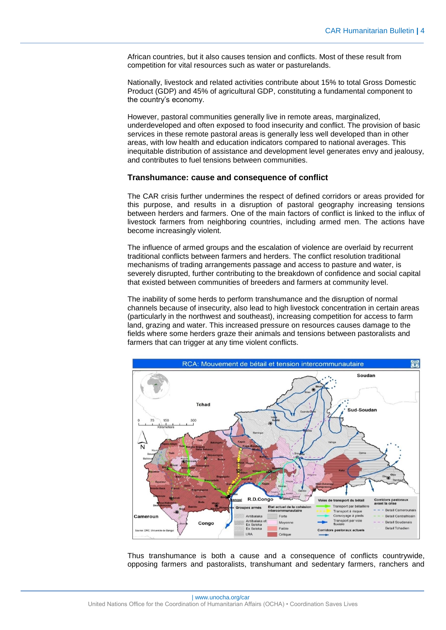African countries, but it also causes tension and conflicts. Most of these result from competition for vital resources such as water or pasturelands.

Nationally, livestock and related activities contribute about 15% to total Gross Domestic Product (GDP) and 45% of agricultural GDP, constituting a fundamental component to the country's economy.

However, pastoral communities generally live in remote areas, marginalized, underdeveloped and often exposed to food insecurity and conflict. The provision of basic services in these remote pastoral areas is generally less well developed than in other areas, with low health and education indicators compared to national averages. This inequitable distribution of assistance and development level generates envy and jealousy, and contributes to fuel tensions between communities.

#### **Transhumance: cause and consequence of conflict**

The CAR crisis further undermines the respect of defined corridors or areas provided for this purpose, and results in a disruption of pastoral geography increasing tensions between herders and farmers. One of the main factors of conflict is linked to the influx of livestock farmers from neighboring countries, including armed men. The actions have become increasingly violent.

The influence of armed groups and the escalation of violence are overlaid by recurrent traditional conflicts between farmers and herders. The conflict resolution traditional mechanisms of trading arrangements passage and access to pasture and water, is severely disrupted, further contributing to the breakdown of confidence and social capital that existed between communities of breeders and farmers at community level.

The inability of some herds to perform transhumance and the disruption of normal channels because of insecurity, also lead to high livestock concentration in certain areas (particularly in the northwest and southeast), increasing competition for access to farm land, grazing and water. This increased pressure on resources causes damage to the fields where some herders graze their animals and tensions between pastoralists and farmers that can trigger at any time violent conflicts.



Thus transhumance is both a cause and a consequence of conflicts countrywide, opposing farmers and pastoralists, transhumant and sedentary farmers, ranchers and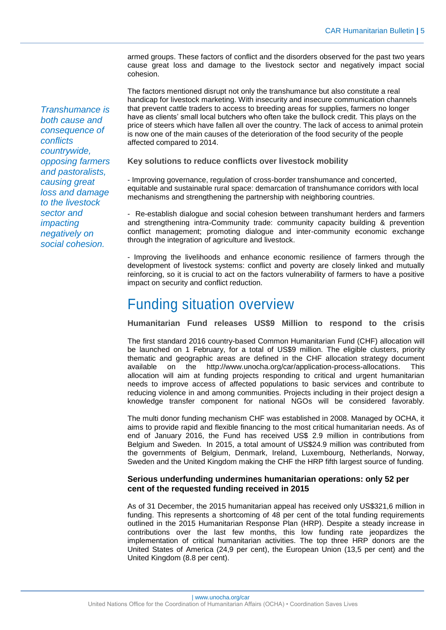armed groups. These factors of conflict and the disorders observed for the past two years cause great loss and damage to the livestock sector and negatively impact social cohesion.

The factors mentioned disrupt not only the transhumance but also constitute a real handicap for livestock marketing. With insecurity and insecure communication channels that prevent cattle traders to access to breeding areas for supplies, farmers no longer have as clients' small local butchers who often take the bullock credit. This plays on the price of steers which have fallen all over the country. The lack of access to animal protein is now one of the main causes of the deterioration of the food security of the people affected compared to 2014.

#### **Key solutions to reduce conflicts over livestock mobility**

- Improving governance, regulation of cross-border transhumance and concerted, equitable and sustainable rural space: demarcation of transhumance corridors with local mechanisms and strengthening the partnership with neighboring countries.

- Re-establish dialogue and social cohesion between transhumant herders and farmers and strengthening intra-Community trade: community capacity building & prevention conflict management; promoting dialogue and inter-community economic exchange through the integration of agriculture and livestock.

- Improving the livelihoods and enhance economic resilience of farmers through the development of livestock systems: conflict and poverty are closely linked and mutually reinforcing, so it is crucial to act on the factors vulnerability of farmers to have a positive impact on security and conflict reduction.

### Funding situation overview

**Humanitarian Fund releases US\$9 Million to respond to the crisis** 

The first standard 2016 country-based Common Humanitarian Fund (CHF) allocation will be launched on 1 February, for a total of US\$9 million. The eligible clusters, priority thematic and geographic areas are defined in the CHF allocation strategy document available on the [http://www.unocha.org/car/application-process-allocations.](http://www.unocha.org/car/application-process-allocations) This allocation will aim at funding projects responding to critical and urgent humanitarian needs to improve access of affected populations to basic services and contribute to reducing violence in and among communities. Projects including in their project design a knowledge transfer component for national NGOs will be considered favorably.

The multi donor funding mechanism CHF was established in 2008. Managed by OCHA, it aims to provide rapid and flexible financing to the most critical humanitarian needs. As of end of January 2016, the Fund has received US\$ 2.9 million in contributions from Belgium and Sweden. In 2015, a total amount of US\$24.9 million was contributed from the governments of Belgium, Denmark, Ireland, Luxembourg, Netherlands, Norway, Sweden and the United Kingdom making the CHF the HRP fifth largest source of funding.

#### **Serious underfunding undermines humanitarian operations: only 52 per cent of the requested funding received in 2015**

As of 31 December, the 2015 humanitarian appeal has received only US\$321,6 million in funding. This represents a shortcoming of 48 per cent of the total funding requirements outlined in the 2015 Humanitarian Response Plan (HRP). Despite a steady increase in contributions over the last few months, this low funding rate jeopardizes the implementation of critical humanitarian activities. The top three HRP donors are the United States of America (24,9 per cent), the European Union (13,5 per cent) and the United Kingdom (8.8 per cent).

*Transhumance is both cause and consequence of conflicts countrywide, opposing farmers and pastoralists, causing great loss and damage to the livestock sector and impacting negatively on social cohesion.*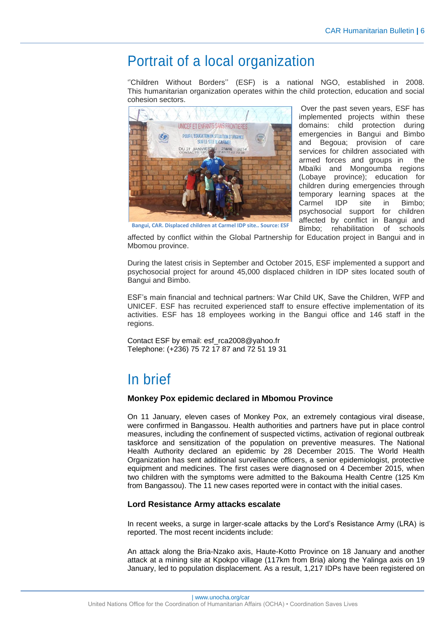# Portrait of a local organization

''Children Without Borders'' (ESF) is a national NGO, established in 2008. This humanitarian organization operates within the child protection, education and social cohesion sectors.



Over the past seven years, ESF has implemented projects within these domains: child protection during emergencies in Bangui and Bimbo and Begoua; provision of care services for children associated with armed forces and groups in the Mbaïki and Mongoumba regions (Lobaye province); education for children during emergencies through temporary learning spaces at the Carmel IDP site in Bimbo; psychosocial support for children affected by conflict in Bangui and Bimbo; rehabilitation of schools

**Bangui, CAR. Displaced children at Carmel IDP site.. Source: ESF**

affected by conflict within the Global Partnership for Education project in Bangui and in Mbomou province.

During the latest crisis in September and October 2015, ESF implemented a support and psychosocial project for around 45,000 displaced children in IDP sites located south of Bangui and Bimbo.

ESF's main financial and technical partners: War Child UK, Save the Children, WFP and UNICEF. ESF has recruited experienced staff to ensure effective implementation of its activities. ESF has 18 employees working in the Bangui office and 146 staff in the regions.

Contact ESF by email: esf\_rca2008@yahoo.fr Telephone: (+236) 75 72 17 87 and 72 51 19 31

# In brief

#### **Monkey Pox epidemic declared in Mbomou Province**

On 11 January, eleven cases of Monkey Pox, an extremely contagious viral disease, were confirmed in Bangassou. Health authorities and partners have put in place control measures, including the confinement of suspected victims, activation of regional outbreak taskforce and sensitization of the population on preventive measures. The National Health Authority declared an epidemic by 28 December 2015. The World Health Organization has sent additional surveillance officers, a senior epidemiologist, protective equipment and medicines. The first cases were diagnosed on 4 December 2015, when two children with the symptoms were admitted to the Bakouma Health Centre (125 Km from Bangassou). The 11 new cases reported were in contact with the initial cases.

#### **Lord Resistance Army attacks escalate**

In recent weeks, a surge in larger-scale attacks by the Lord's Resistance Army (LRA) is reported. The most recent incidents include:

An attack along the Bria-Nzako axis, Haute-Kotto Province on 18 January and another attack at a mining site at Kpokpo village (117km from Bria) along the Yalinga axis on 19 January, led to population displacement. As a result, 1,217 IDPs have been registered on